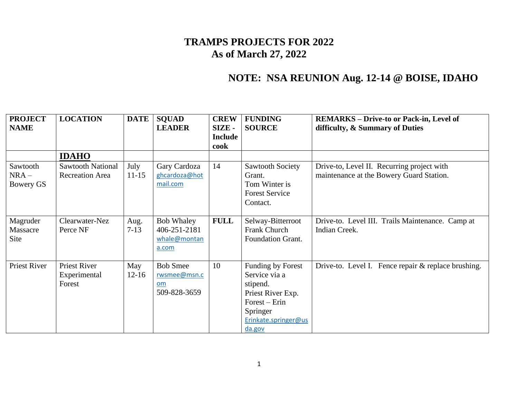## **TRAMPS PROJECTS FOR 2022 As of March 27, 2022**

## **NOTE: NSA REUNION Aug. 12-14 @ BOISE, IDAHO**

| <b>PROJECT</b><br><b>NAME</b>    | <b>LOCATION</b>                                    | <b>DATE</b>       | <b>SQUAD</b><br><b>LEADER</b>                              | <b>CREW</b><br><b>SIZE-</b><br><b>Include</b> | <b>FUNDING</b><br><b>SOURCE</b>                                                                                                      | <b>REMARKS</b> – Drive-to or Pack-in, Level of<br>difficulty, & Summary of Duties      |
|----------------------------------|----------------------------------------------------|-------------------|------------------------------------------------------------|-----------------------------------------------|--------------------------------------------------------------------------------------------------------------------------------------|----------------------------------------------------------------------------------------|
|                                  |                                                    |                   |                                                            | cook                                          |                                                                                                                                      |                                                                                        |
|                                  | <b>IDAHO</b>                                       |                   |                                                            |                                               |                                                                                                                                      |                                                                                        |
| Sawtooth<br>$NRA -$<br>Bowery GS | <b>Sawtooth National</b><br><b>Recreation Area</b> | July<br>$11 - 15$ | Gary Cardoza<br>ghcardoza@hot<br>mail.com                  | 14                                            | Sawtooth Society<br>Grant.<br>Tom Winter is<br><b>Forest Service</b><br>Contact.                                                     | Drive-to, Level II. Recurring project with<br>maintenance at the Bowery Guard Station. |
| Magruder<br>Massacre<br>Site     | Clearwater-Nez<br>Perce NF                         | Aug.<br>$7 - 13$  | <b>Bob Whaley</b><br>406-251-2181<br>whale@montan<br>a.com | <b>FULL</b>                                   | Selway-Bitterroot<br>Frank Church<br><b>Foundation Grant.</b>                                                                        | Drive-to. Level III. Trails Maintenance. Camp at<br>Indian Creek.                      |
| <b>Priest River</b>              | Priest River<br>Experimental<br>Forest             | May<br>$12 - 16$  | <b>Bob Smee</b><br>rwsmee@msn.c<br>om<br>509-828-3659      | 10                                            | Funding by Forest<br>Service via a<br>stipend.<br>Priest River Exp.<br>$Forest - Erin$<br>Springer<br>Erinkate.springer@us<br>da.gov | Drive-to. Level I. Fence repair & replace brushing.                                    |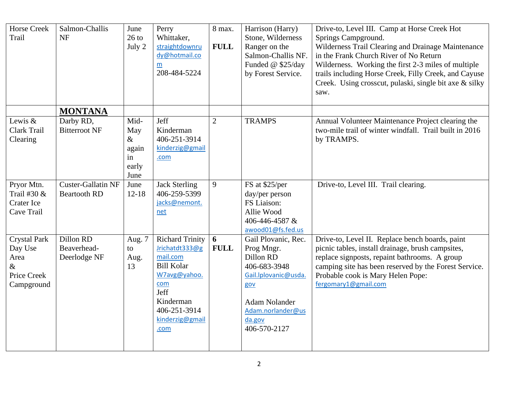| <b>Horse Creek</b><br>Trail                                                 | Salmon-Challis<br><b>NF</b>                      | June<br>$26$ to<br>July 2                           | Perry<br>Whittaker,<br>straightdownru<br>dy@hotmail.co<br>m<br>208-484-5224                                                                                      | 8 max.<br><b>FULL</b> | Harrison (Harry)<br>Stone, Wilderness<br>Ranger on the<br>Salmon-Challis NF.<br>Funded @ \$25/day<br>by Forest Service.                                              | Drive-to, Level III. Camp at Horse Creek Hot<br>Springs Campground.<br>Wilderness Trail Clearing and Drainage Maintenance<br>in the Frank Church River of No Return<br>Wilderness. Working the first 2-3 miles of multiple<br>trails including Horse Creek, Filly Creek, and Cayuse<br>Creek. Using crosscut, pulaski, single bit axe & silky<br>saw. |
|-----------------------------------------------------------------------------|--------------------------------------------------|-----------------------------------------------------|------------------------------------------------------------------------------------------------------------------------------------------------------------------|-----------------------|----------------------------------------------------------------------------------------------------------------------------------------------------------------------|-------------------------------------------------------------------------------------------------------------------------------------------------------------------------------------------------------------------------------------------------------------------------------------------------------------------------------------------------------|
|                                                                             | <b>MONTANA</b>                                   |                                                     |                                                                                                                                                                  |                       |                                                                                                                                                                      |                                                                                                                                                                                                                                                                                                                                                       |
| Lewis &<br>Clark Trail<br>Clearing                                          | Darby RD,<br><b>Bitterroot NF</b>                | Mid-<br>May<br>$\&$<br>again<br>in<br>early<br>June | Jeff<br>Kinderman<br>406-251-3914<br>kinderzig@gmail<br>.com                                                                                                     | $\overline{2}$        | <b>TRAMPS</b>                                                                                                                                                        | Annual Volunteer Maintenance Project clearing the<br>two-mile trail of winter windfall. Trail built in 2016<br>by TRAMPS.                                                                                                                                                                                                                             |
| Pryor Mtn.<br>Trail #30 &<br>Crater Ice<br>Cave Trail                       | <b>Custer-Gallatin NF</b><br><b>Beartooth RD</b> | June<br>$12 - 18$                                   | <b>Jack Sterling</b><br>406-259-5399<br>jacks@nemont.<br>net                                                                                                     | 9                     | FS at \$25/per<br>day/per person<br>FS Liaison:<br>Allie Wood<br>406-446-4587 &<br>awood01@fs.fed.us                                                                 | Drive-to, Level III. Trail clearing.                                                                                                                                                                                                                                                                                                                  |
| <b>Crystal Park</b><br>Day Use<br>Area<br>$\&$<br>Price Creek<br>Campground | Dillon RD<br>Beaverhead-<br>Deerlodge NF         | Aug. 7<br>to<br>Aug.<br>13                          | <b>Richard Trinity</b><br>Jrichatdt333@g<br>mail.com<br><b>Bill Kolar</b><br>W7avg@yahoo.<br>com<br>Jeff<br>Kinderman<br>406-251-3914<br>kinderzig@gmail<br>.com | 6<br><b>FULL</b>      | Gail Plovanic, Rec.<br>Prog Mngr.<br>Dillon RD<br>406-683-3948<br>Gail.lplovanic@usda.<br>gov<br><b>Adam Nolander</b><br>Adam.norlander@us<br>da.gov<br>406-570-2127 | Drive-to, Level II. Replace bench boards, paint<br>picnic tables, install drainage, brush campsites,<br>replace signposts, repaint bathrooms. A group<br>camping site has been reserved by the Forest Service.<br>Probable cook is Mary Helen Pope:<br>fergomary1@gmail.com                                                                           |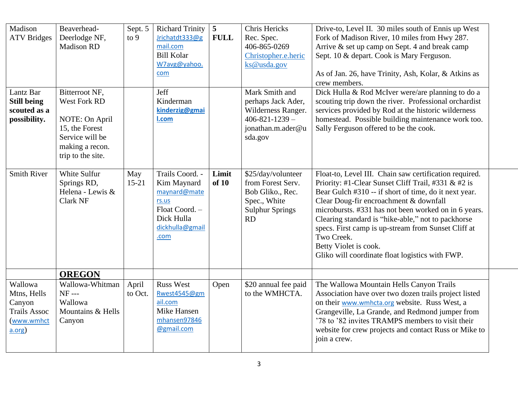| Madison<br><b>ATV</b> Bridges                                                   | Beaverhead-<br>Deerlodge NF,<br><b>Madison RD</b>                                                                             | Sept. 5<br>to $9$ | <b>Richard Trinity</b><br>Jrichatdt333@g<br>mail.com<br><b>Bill Kolar</b><br>W7avg@yahoo.<br>com                   | $\overline{5}$<br><b>FULL</b> | Chris Hericks<br>Rec. Spec.<br>406-865-0269<br>Christopher.e.heric<br>ks@usda.gov                                  | Drive-to, Level II. 30 miles south of Ennis up West<br>Fork of Madison River, 10 miles from Hwy 287.<br>Arrive & set up camp on Sept. 4 and break camp<br>Sept. 10 & depart. Cook is Mary Ferguson.<br>As of Jan. 26, have Trinity, Ash, Kolar, & Atkins as<br>crew members.                                                                                                                                                                                                    |  |
|---------------------------------------------------------------------------------|-------------------------------------------------------------------------------------------------------------------------------|-------------------|--------------------------------------------------------------------------------------------------------------------|-------------------------------|--------------------------------------------------------------------------------------------------------------------|---------------------------------------------------------------------------------------------------------------------------------------------------------------------------------------------------------------------------------------------------------------------------------------------------------------------------------------------------------------------------------------------------------------------------------------------------------------------------------|--|
| Lantz Bar<br><b>Still being</b><br>scouted as a<br>possibility.                 | Bitterroot NF,<br>West Fork RD<br>NOTE: On April<br>15, the Forest<br>Service will be<br>making a recon.<br>trip to the site. |                   | Jeff<br>Kinderman<br>kinderzig@gmai<br>I.com                                                                       |                               | Mark Smith and<br>perhaps Jack Ader,<br>Wilderness Ranger.<br>$406 - 821 - 1239 -$<br>jonathan.m.ader@u<br>sda.gov | Dick Hulla & Rod McIver were/are planning to do a<br>scouting trip down the river. Professional orchardist<br>services provided by Rod at the historic wilderness<br>homestead. Possible building maintenance work too.<br>Sally Ferguson offered to be the cook.                                                                                                                                                                                                               |  |
| <b>Smith River</b>                                                              | White Sulfur<br>Springs RD,<br>Helena - Lewis &<br><b>Clark NF</b>                                                            | May<br>$15 - 21$  | Trails Coord. -<br>Kim Maynard<br>maynard@mate<br>rs.us<br>Float Coord. -<br>Dick Hulla<br>dickhulla@gmail<br>.com | Limit<br>of 10                | \$25/day/volunteer<br>from Forest Serv.<br>Bob Gliko., Rec.<br>Spec., White<br><b>Sulphur Springs</b><br>RD        | Float-to, Level III. Chain saw certification required.<br>Priority: #1-Clear Sunset Cliff Trail, #331 & #2 is<br>Bear Gulch #310 -- if short of time, do it next year.<br>Clear Doug-fir encroachment & downfall<br>microbursts. #331 has not been worked on in 6 years.<br>Clearing standard is "hike-able," not to packhorse<br>specs. First camp is up-stream from Sunset Cliff at<br>Two Creek.<br>Betty Violet is cook.<br>Gliko will coordinate float logistics with FWP. |  |
| Wallowa<br>Mtns, Hells<br>Canyon<br><b>Trails Assoc</b><br>(www.wmhct<br>a.org) | <b>OREGON</b><br>Wallowa-Whitman<br>$NF - -$<br>Wallowa<br>Mountains & Hells<br>Canyon                                        | April<br>to Oct.  | <b>Russ West</b><br>Rwest4545@gm<br>ail.com<br>Mike Hansen<br>mhansen97846<br>@gmail.com                           | Open                          | \$20 annual fee paid<br>to the WMHCTA.                                                                             | The Wallowa Mountain Hells Canyon Trails<br>Association have over two dozen trails project listed<br>on their www.wmhcta.org website. Russ West, a<br>Grangeville, La Grande, and Redmond jumper from<br>'78 to '82 invites TRAMPS members to visit their<br>website for crew projects and contact Russ or Mike to<br>join a crew.                                                                                                                                              |  |